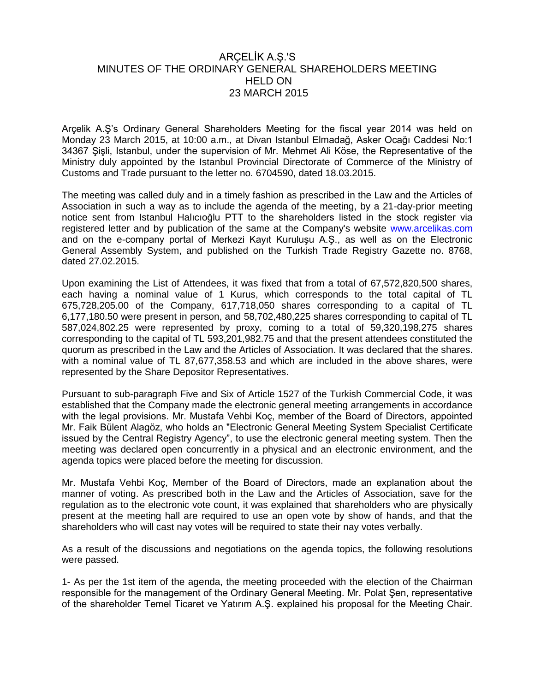## ARÇELİK A.Ş.'S MINUTES OF THE ORDINARY GENERAL SHAREHOLDERS MEETING HELD ON 23 MARCH 2015

Arçelik A.Ş's Ordinary General Shareholders Meeting for the fiscal year 2014 was held on Monday 23 March 2015, at 10:00 a.m., at Divan Istanbul Elmadağ, Asker Ocağı Caddesi No:1 34367 Şişli, Istanbul, under the supervision of Mr. Mehmet Ali Köse, the Representative of the Ministry duly appointed by the Istanbul Provincial Directorate of Commerce of the Ministry of Customs and Trade pursuant to the letter no. 6704590, dated 18.03.2015.

The meeting was called duly and in a timely fashion as prescribed in the Law and the Articles of Association in such a way as to include the agenda of the meeting, by a 21-day-prior meeting notice sent from Istanbul Halıcıoğlu PTT to the shareholders listed in the stock register via registered letter and by publication of the same at the Company's website [www.arcelikas.com](http://www.arcelikas.com/) and on the e-company portal of Merkezi Kayıt Kuruluşu A.Ş., as well as on the Electronic General Assembly System, and published on the Turkish Trade Registry Gazette no. 8768, dated 27.02.2015.

Upon examining the List of Attendees, it was fixed that from a total of 67,572,820,500 shares, each having a nominal value of 1 Kurus, which corresponds to the total capital of TL 675,728,205.00 of the Company, 617,718,050 shares corresponding to a capital of TL 6,177,180.50 were present in person, and 58,702,480,225 shares corresponding to capital of TL 587,024,802.25 were represented by proxy, coming to a total of 59,320,198,275 shares corresponding to the capital of TL 593,201,982.75 and that the present attendees constituted the quorum as prescribed in the Law and the Articles of Association. It was declared that the shares. with a nominal value of TL 87,677,358.53 and which are included in the above shares, were represented by the Share Depositor Representatives.

Pursuant to sub-paragraph Five and Six of Article 1527 of the Turkish Commercial Code, it was established that the Company made the electronic general meeting arrangements in accordance with the legal provisions. Mr. Mustafa Vehbi Koç, member of the Board of Directors, appointed Mr. Faik Bülent Alagöz, who holds an "Electronic General Meeting System Specialist Certificate issued by the Central Registry Agency", to use the electronic general meeting system. Then the meeting was declared open concurrently in a physical and an electronic environment, and the agenda topics were placed before the meeting for discussion.

Mr. Mustafa Vehbi Koç, Member of the Board of Directors, made an explanation about the manner of voting. As prescribed both in the Law and the Articles of Association, save for the regulation as to the electronic vote count, it was explained that shareholders who are physically present at the meeting hall are required to use an open vote by show of hands, and that the shareholders who will cast nay votes will be required to state their nay votes verbally.

As a result of the discussions and negotiations on the agenda topics, the following resolutions were passed.

1- As per the 1st item of the agenda, the meeting proceeded with the election of the Chairman responsible for the management of the Ordinary General Meeting. Mr. Polat Şen, representative of the shareholder Temel Ticaret ve Yatırım A.Ş. explained his proposal for the Meeting Chair.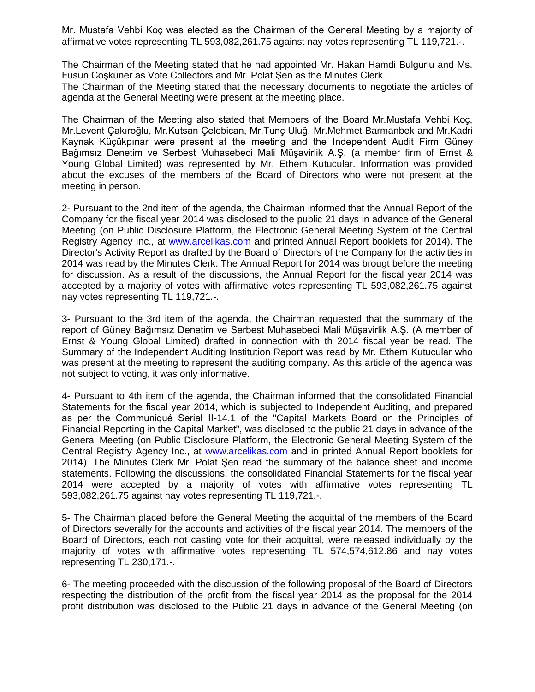Mr. Mustafa Vehbi Koç was elected as the Chairman of the General Meeting by a majority of affirmative votes representing TL 593,082,261.75 against nay votes representing TL 119,721.-.

The Chairman of the Meeting stated that he had appointed Mr. Hakan Hamdi Bulgurlu and Ms. Füsun Coşkuner as Vote Collectors and Mr. Polat Şen as the Minutes Clerk.

The Chairman of the Meeting stated that the necessary documents to negotiate the articles of agenda at the General Meeting were present at the meeting place.

The Chairman of the Meeting also stated that Members of the Board Mr.Mustafa Vehbi Koç, Mr.Levent Çakıroğlu, Mr.Kutsan Çelebican, Mr.Tunç Uluğ, Mr.Mehmet Barmanbek and Mr.Kadri Kaynak Küçükpınar were present at the meeting and the Independent Audit Firm Güney Bağımsız Denetim ve Serbest Muhasebeci Mali Müşavirlik A.Ş. (a member firm of Ernst & Young Global Limited) was represented by Mr. Ethem Kutucular. Information was provided about the excuses of the members of the Board of Directors who were not present at the meeting in person.

2- Pursuant to the 2nd item of the agenda, the Chairman informed that the Annual Report of the Company for the fiscal year 2014 was disclosed to the public 21 days in advance of the General Meeting (on Public Disclosure Platform, the Electronic General Meeting System of the Central Registry Agency Inc., at [www.arcelikas.com](http://www.arcelikas.com/) and printed Annual Report booklets for 2014). The Director's Activity Report as drafted by the Board of Directors of the Company for the activities in 2014 was read by the Minutes Clerk. The Annual Report for 2014 was brougt before the meeting for discussion. As a result of the discussions, the Annual Report for the fiscal year 2014 was accepted by a majority of votes with affirmative votes representing TL 593,082,261.75 against nay votes representing TL 119,721.-.

3- Pursuant to the 3rd item of the agenda, the Chairman requested that the summary of the report of Güney Bağımsız Denetim ve Serbest Muhasebeci Mali Müşavirlik A.Ş. (A member of Ernst & Young Global Limited) drafted in connection with th 2014 fiscal year be read. The Summary of the Independent Auditing Institution Report was read by Mr. Ethem Kutucular who was present at the meeting to represent the auditing company. As this article of the agenda was not subject to voting, it was only informative.

4- Pursuant to 4th item of the agenda, the Chairman informed that the consolidated Financial Statements for the fiscal year 2014, which is subjected to Independent Auditing, and prepared as per the Communiqué Serial II-14.1 of the "Capital Markets Board on the Principles of Financial Reporting in the Capital Market", was disclosed to the public 21 days in advance of the General Meeting (on Public Disclosure Platform, the Electronic General Meeting System of the Central Registry Agency Inc., at [www.arcelikas.com](http://www.arcelikas.com/) and in printed Annual Report booklets for 2014). The Minutes Clerk Mr. Polat Şen read the summary of the balance sheet and income statements. Following the discussions, the consolidated Financial Statements for the fiscal year 2014 were accepted by a majority of votes with affirmative votes representing TL 593,082,261.75 against nay votes representing TL 119,721.-.

5- The Chairman placed before the General Meeting the acquittal of the members of the Board of Directors severally for the accounts and activities of the fiscal year 2014. The members of the Board of Directors, each not casting vote for their acquittal, were released individually by the majority of votes with affirmative votes representing TL 574,574,612.86 and nay votes representing TL 230,171.-.

6- The meeting proceeded with the discussion of the following proposal of the Board of Directors respecting the distribution of the profit from the fiscal year 2014 as the proposal for the 2014 profit distribution was disclosed to the Public 21 days in advance of the General Meeting (on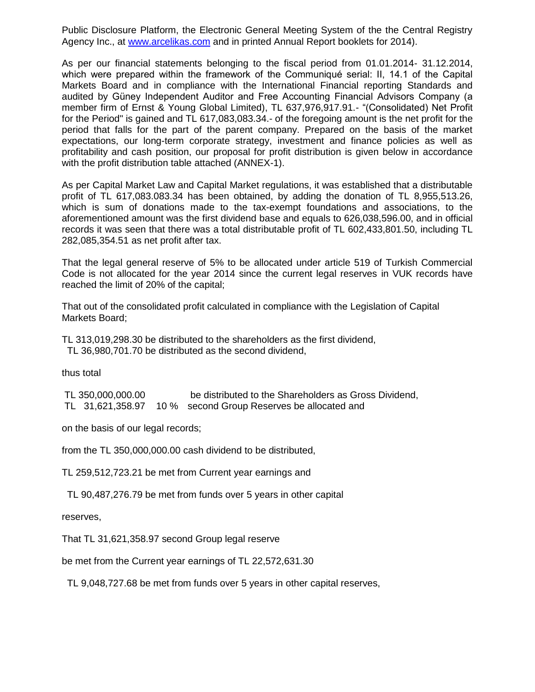Public Disclosure Platform, the Electronic General Meeting System of the the Central Registry Agency Inc., at [www.arcelikas.com](http://www.arcelikas.com/) and in printed Annual Report booklets for 2014).

As per our financial statements belonging to the fiscal period from 01.01.2014- 31.12.2014, which were prepared within the framework of the Communiqué serial: II, 14.1 of the Capital Markets Board and in compliance with the International Financial reporting Standards and audited by Güney Independent Auditor and Free Accounting Financial Advisors Company (a member firm of Ernst & Young Global Limited), TL 637,976,917.91.- "(Consolidated) Net Profit for the Period" is gained and TL 617,083,083.34.- of the foregoing amount is the net profit for the period that falls for the part of the parent company. Prepared on the basis of the market expectations, our long-term corporate strategy, investment and finance policies as well as profitability and cash position, our proposal for profit distribution is given below in accordance with the profit distribution table attached (ANNEX-1).

As per Capital Market Law and Capital Market regulations, it was established that a distributable profit of TL 617,083.083.34 has been obtained, by adding the donation of TL 8,955,513.26, which is sum of donations made to the tax-exempt foundations and associations, to the aforementioned amount was the first dividend base and equals to 626,038,596.00, and in official records it was seen that there was a total distributable profit of TL 602,433,801.50, including TL 282,085,354.51 as net profit after tax.

That the legal general reserve of 5% to be allocated under article 519 of Turkish Commercial Code is not allocated for the year 2014 since the current legal reserves in VUK records have reached the limit of 20% of the capital;

That out of the consolidated profit calculated in compliance with the Legislation of Capital Markets Board;

TL 313,019,298.30 be distributed to the shareholders as the first dividend,

TL 36,980,701.70 be distributed as the second dividend,

thus total

TL 350,000,000.00 be distributed to the Shareholders as Gross Dividend, TL 31,621,358.97 10 % second Group Reserves be allocated and

on the basis of our legal records;

from the TL 350,000,000.00 cash dividend to be distributed,

TL 259,512,723.21 be met from Current year earnings and

TL 90,487,276.79 be met from funds over 5 years in other capital

reserves,

That TL 31,621,358.97 second Group legal reserve

be met from the Current year earnings of TL 22,572,631.30

TL 9,048,727.68 be met from funds over 5 years in other capital reserves,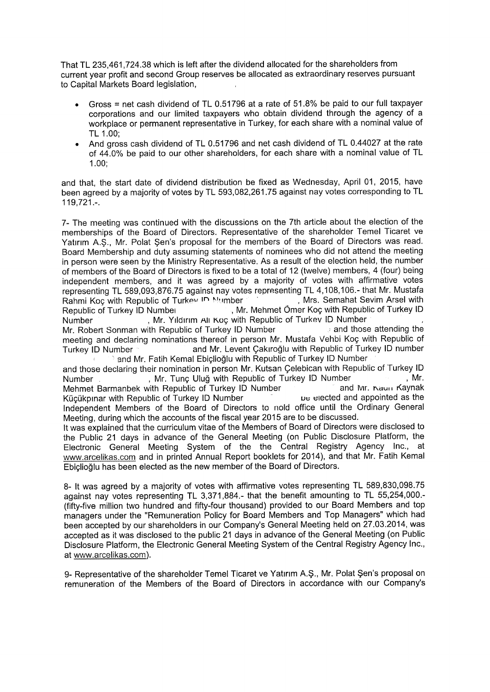That TL 235,461,724.38 which is left after the dividend allocated for the shareholders from current year profit and second Group reserves be allocated as extraordinary reserves pursuant to Capital Markets Board legislation,

- Gross = net cash dividend of TL 0.51796 at a rate of 51.8% be paid to our full taxpayer corporations and our limited taxpayers who obtain dividend through the agency of a workplace or permanent representative in Turkey, for each share with a nominal value of TL 1.00:
- And gross cash dividend of TL 0.51796 and net cash dividend of TL 0.44027 at the rate  $\bullet$ of 44.0% be paid to our other shareholders, for each share with a nominal value of TL  $1.00;$

and that, the start date of dividend distribution be fixed as Wednesday, April 01, 2015, have been agreed by a majority of votes by TL 593,082,261.75 against nay votes corresponding to TL  $119,721...$ 

7- The meeting was continued with the discussions on the 7th article about the election of the memberships of the Board of Directors. Representative of the shareholder Temel Ticaret ve Yatırım A.Ş., Mr. Polat Şen's proposal for the members of the Board of Directors was read. Board Membership and duty assuming statements of nominees who did not attend the meeting in person were seen by the Ministry Representative. As a result of the election held, the number of members of the Board of Directors is fixed to be a total of 12 (twelve) members, 4 (four) being independent members, and it was agreed by a majority of votes with affirmative votes representing TL 589,093,876.75 against nay votes representing TL 4,108,106.- that Mr. Mustafa , Mrs. Semahat Sevim Arsel with Rahmi Koç with Republic of Turkey ID Mumber , Mr. Mehmet Ömer Koç with Republic of Turkey ID Republic of Turkey ID Number , Mr. Yıldırım Alı Koç with Republic of Turkev ID Number Number Mr. Robert Sonman with Republic of Turkey ID Number and those attending the meeting and declaring nominations thereof in person Mr. Mustafa Vehbi Koc with Republic of and Mr. Levent Çakıroğlu with Republic of Turkey ID number Turkey ID Number <sup>3</sup> and Mr. Fatih Kemal Ebiçlioğlu with Republic of Turkey ID Number

and those declaring their nomination in person Mr. Kutsan Celebican with Republic of Turkey ID Number , Mr. Tunç Uluğ with Republic of Turkey ID Number  $Mr.$ Mehmet Barmanbek with Republic of Turkey ID Number and Mr. Naun Kaynak be elected and appointed as the Küçükpınar with Republic of Turkey ID Number Independent Members of the Board of Directors to nold office until the Ordinary General Meeting, during which the accounts of the fiscal year 2015 are to be discussed.

It was explained that the curriculum vitae of the Members of Board of Directors were disclosed to the Public 21 days in advance of the General Meeting (on Public Disclosure Platform, the Electronic General Meeting System of the the Central Registry Agency Inc., at www.arcelikas.com and in printed Annual Report booklets for 2014), and that Mr. Fatih Kemal Ebiclioğlu has been elected as the new member of the Board of Directors.

8- It was agreed by a majority of votes with affirmative votes representing TL 589,830,098.75 against nay votes representing TL 3,371,884.- that the benefit amounting to TL 55,254,000.-(fifty-five million two hundred and fifty-four thousand) provided to our Board Members and top managers under the "Remuneration Policy for Board Members and Top Managers" which had been accepted by our shareholders in our Company's General Meeting held on 27.03.2014, was accepted as it was disclosed to the public 21 days in advance of the General Meeting (on Public Disclosure Platform, the Electronic General Meeting System of the Central Registry Agency Inc., at www.arcelikas.com).

9- Representative of the shareholder Temel Ticaret ve Yatırım A.Ş., Mr. Polat Şen's proposal on remuneration of the Members of the Board of Directors in accordance with our Company's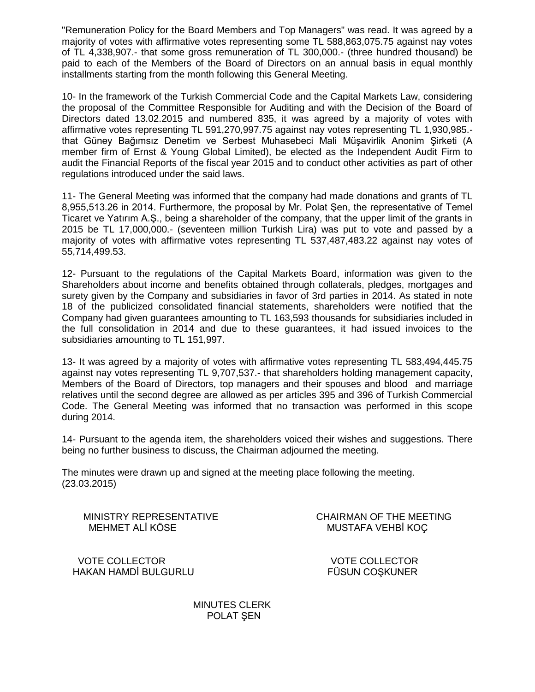"Remuneration Policy for the Board Members and Top Managers" was read. It was agreed by a majority of votes with affirmative votes representing some TL 588,863,075.75 against nay votes of TL 4,338,907.- that some gross remuneration of TL 300,000.- (three hundred thousand) be paid to each of the Members of the Board of Directors on an annual basis in equal monthly installments starting from the month following this General Meeting.

10- In the framework of the Turkish Commercial Code and the Capital Markets Law, considering the proposal of the Committee Responsible for Auditing and with the Decision of the Board of Directors dated 13.02.2015 and numbered 835, it was agreed by a majority of votes with affirmative votes representing TL 591,270,997.75 against nay votes representing TL 1,930,985. that Güney Bağımsız Denetim ve Serbest Muhasebeci Mali Müşavirlik Anonim Şirketi (A member firm of Ernst & Young Global Limited), be elected as the Independent Audit Firm to audit the Financial Reports of the fiscal year 2015 and to conduct other activities as part of other regulations introduced under the said laws.

11- The General Meeting was informed that the company had made donations and grants of TL 8,955,513.26 in 2014. Furthermore, the proposal by Mr. Polat Şen, the representative of Temel Ticaret ve Yatırım A.Ş., being a shareholder of the company, that the upper limit of the grants in 2015 be TL 17,000,000.- (seventeen million Turkish Lira) was put to vote and passed by a majority of votes with affirmative votes representing TL 537,487,483.22 against nay votes of 55,714,499.53.

12- Pursuant to the regulations of the Capital Markets Board, information was given to the Shareholders about income and benefits obtained through collaterals, pledges, mortgages and surety given by the Company and subsidiaries in favor of 3rd parties in 2014. As stated in note 18 of the publicized consolidated financial statements, shareholders were notified that the Company had given guarantees amounting to TL 163,593 thousands for subsidiaries included in the full consolidation in 2014 and due to these guarantees, it had issued invoices to the subsidiaries amounting to TL 151,997.

13- It was agreed by a majority of votes with affirmative votes representing TL 583,494,445.75 against nay votes representing TL 9,707,537.- that shareholders holding management capacity, Members of the Board of Directors, top managers and their spouses and blood and marriage relatives until the second degree are allowed as per articles 395 and 396 of Turkish Commercial Code. The General Meeting was informed that no transaction was performed in this scope during 2014.

14- Pursuant to the agenda item, the shareholders voiced their wishes and suggestions. There being no further business to discuss, the Chairman adjourned the meeting.

The minutes were drawn up and signed at the meeting place following the meeting. (23.03.2015)

MEHMET ALİ KÖSE MUSTAFA VEHBİ KOÇ

MINISTRY REPRESENTATIVE CHAIRMAN OF THE MEETING

 VOTE COLLECTOR VOTE COLLECTOR HAKAN HAMDİ BULGURLU FÜSUN COŞKUNER

 MINUTES CLERK POLAT SEN